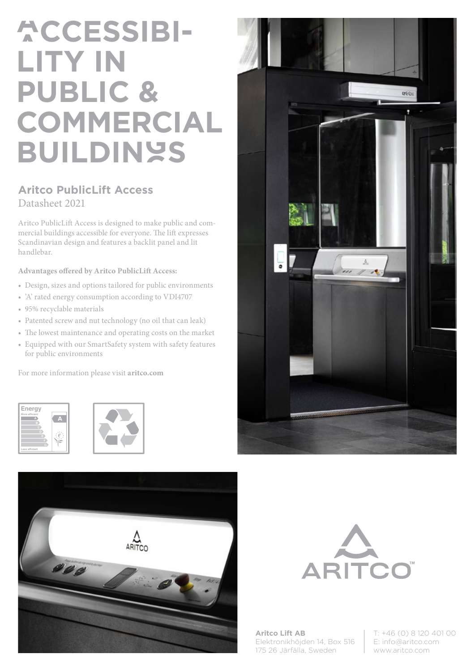# **ACCESSIBI-LITY IN PUBLIC & COMMERCIAL BUILDINGS**

## **Aritco PublicLift Access** Datasheet 2021

Aritco PublicLift Access is designed to make public and commercial buildings accessible for everyone. The lift expresses Scandinavian design and features a backlit panel and lit handlebar.

### **Advantages offered by Aritco PublicLift Access:**

- Design, sizes and options tailored for public environments
- 'A' rated energy consumption according to VDI4707
- 95% recyclable materials
- Patented screw and nut technology (no oil that can leak)
- The lowest maintenance and operating costs on the market
- Equipped with our SmartSafety system with safety features for public environments

For more information please visit **aritco.com**











**Aritco Lift AB** Elektronikhöjden 14, Box 516 175 26 Järfälla, Sweden

T: +46 (0) 8 120 401 00 E: info@aritco.com www.aritco.com